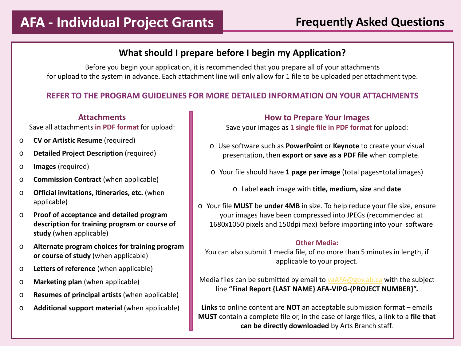## **What should I prepare before I begin my Application?**

Before you begin your application, it is recommended that you prepare all of your attachments for upload to the system in advance. Each attachment line will only allow for 1 file to be uploaded per attachment type.

### **REFER TO THE PROGRAM GUIDELINES FOR MORE DETAILED INFORMATION ON YOUR ATTACHMENTS**

### **Attachments**

Save all attachments **in PDF format** for upload:

- o **CV or Artistic Resume** (required)
- o **Detailed Project Description** (required)
- o **Images** (required)
- o **Commission Contract** (when applicable)
- o **Official invitations, itineraries, etc.** (when applicable)
- o **Proof of acceptance and detailed program description for training program or course of study** (when applicable)
- o **Alternate program choices for training program or course of study** (when applicable)
- o **Letters of reference** (when applicable)
- o **Marketing plan** (when applicable)
- o **Resumes of principal artists** (when applicable)
- o **Additional support material** (when applicable)

**How to Prepare Your Images**

Save your images as **1 single file in PDF format** for upload:

- o Use software such as **PowerPoint** or **Keynote** to create your visual presentation, then **export or save as a PDF file** when complete.
- o Your file should have **1 page per image** (total pages=total images)
	- o Label **each** image with **title, medium, size** and **date**
- o Your file **MUST** be **under 4MB** in size. To help reduce your file size, ensure your images have been compressed into JPEGs (recommended at 1680x1050 pixels and 150dpi max) before importing into your software

#### **Other Media:**

You can also submit 1 media file, of no more than 5 minutes in length, if applicable to your project.

Media files can be submitted by email to [vaAFA@gov.ab.ca](mailto:vaAFA@gov.ab.ca) with the subject line **"Final Report {LAST NAME} AFA-VIPG-{PROJECT NUMBER}".**

**Links** to online content are **NOT** an acceptable submission format – emails **MUST** contain a complete file or, in the case of large files, a link to a **file that can be directly downloaded** by Arts Branch staff.